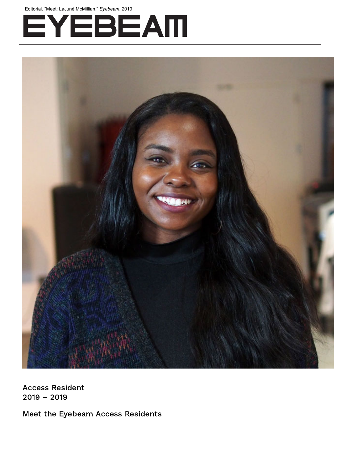Editorial. "Meet: LaJuné McMillian," *Eyebeam*, 2019





Access Resident 2019 – 2019

Meet the Eyebeam Access Residents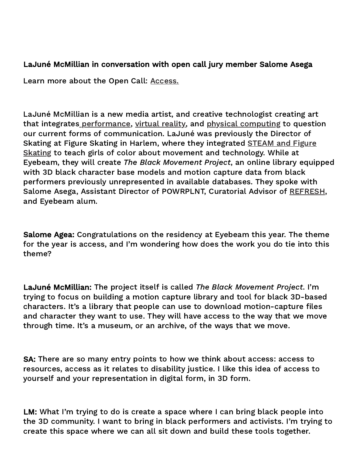## LaJuné McMillian in conversation with open call jury member Salome Asega

Learn more about the Open Call: [Access.](https://eyebeam.org/events/access/)

LaJuné McMillian is a new media artist, and creative technologist creating art that integrates [performance](https://laja.me/Aether-1), [virtual](https://laja.me/Clarity) reality, and physical [computing](https://laja.me/528) to question our current forms of communication. LaJuné was previously the Director of Skating [at Figure Skating in Harlem,](https://www.youtube.com/watch?v=gBs1cK4eUUU&t=6s) where they integrated **STEAM** and Figure Skating to teach girls of color about movement and technology. While at Eyebeam, they will create The Black Movement Project, an online library equipped with 3D black character base models and motion capture data from black performers previously unrepresented in available databases. They spoke with Salome Asega, Assistant Director of POWRPLNT, Curatorial Advisor of [REFRESH](http://refreshart.tech/), and Eyebeam alum.

Salome Agea: Congratulations on the residency at Eyebeam this year. The theme for the year is access, and I'm wondering how does the work you do tie into this theme?

LaJuné McMillian: The project itself is called The Black Movement Project. I'm trying to focus on building a motion capture library and tool for black 3D-based characters. It's a library that people can use to download motion-capture files and character they want to use. They will have access to the way that we move through time. It's a museum, or an archive, of the ways that we move.

SA: There are so many entry points to how we think about access: access to resources, access as it relates to disability justice. I like this idea of access to yourself and your representation in digital form, in 3D form.

LM: What I'm trying to do is create a space where I can bring black people into the 3D community. I want to bring in black performers and activists. I'm trying to create this space where we can all sit down and build these tools together.